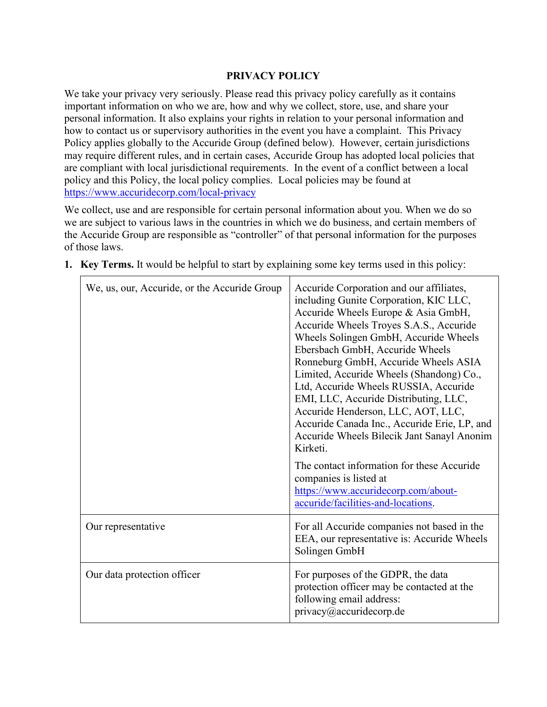# **PRIVACY POLICY**

We take your privacy very seriously. Please read this privacy policy carefully as it contains important information on who we are, how and why we collect, store, use, and share your personal information. It also explains your rights in relation to your personal information and how to contact us or supervisory authorities in the event you have a complaint. This Privacy Policy applies globally to the Accuride Group (defined below). However, certain jurisdictions may require different rules, and in certain cases, Accuride Group has adopted local policies that are compliant with local jurisdictional requirements. In the event of a conflict between a local policy and this Policy, the local policy complies. Local policies may be found at <https://www.accuridecorp.com/local-privacy>

We collect, use and are responsible for certain personal information about you. When we do so we are subject to various laws in the countries in which we do business, and certain members of the Accuride Group are responsible as "controller" of that personal information for the purposes of those laws.

| We, us, our, Accuride, or the Accuride Group | Accuride Corporation and our affiliates,<br>including Gunite Corporation, KIC LLC,<br>Accuride Wheels Europe & Asia GmbH,<br>Accuride Wheels Troyes S.A.S., Accuride<br>Wheels Solingen GmbH, Accuride Wheels<br>Ebersbach GmbH, Accuride Wheels<br>Ronneburg GmbH, Accuride Wheels ASIA<br>Limited, Accuride Wheels (Shandong) Co.,<br>Ltd, Accuride Wheels RUSSIA, Accuride<br>EMI, LLC, Accuride Distributing, LLC,<br>Accuride Henderson, LLC, AOT, LLC,<br>Accuride Canada Inc., Accuride Erie, LP, and<br>Accuride Wheels Bilecik Jant Sanayl Anonim<br>Kirketi. |
|----------------------------------------------|------------------------------------------------------------------------------------------------------------------------------------------------------------------------------------------------------------------------------------------------------------------------------------------------------------------------------------------------------------------------------------------------------------------------------------------------------------------------------------------------------------------------------------------------------------------------|
|                                              | The contact information for these Accuride<br>companies is listed at<br>https://www.accuridecorp.com/about-<br>accuride/facilities-and-locations.                                                                                                                                                                                                                                                                                                                                                                                                                      |
| Our representative                           | For all Accuride companies not based in the<br>EEA, our representative is: Accuride Wheels<br>Solingen GmbH                                                                                                                                                                                                                                                                                                                                                                                                                                                            |
| Our data protection officer                  | For purposes of the GDPR, the data<br>protection officer may be contacted at the<br>following email address:<br>privacy@accuridecorp.de                                                                                                                                                                                                                                                                                                                                                                                                                                |

**1. Key Terms.** It would be helpful to start by explaining some key terms used in this policy:

 $\overline{\Gamma}$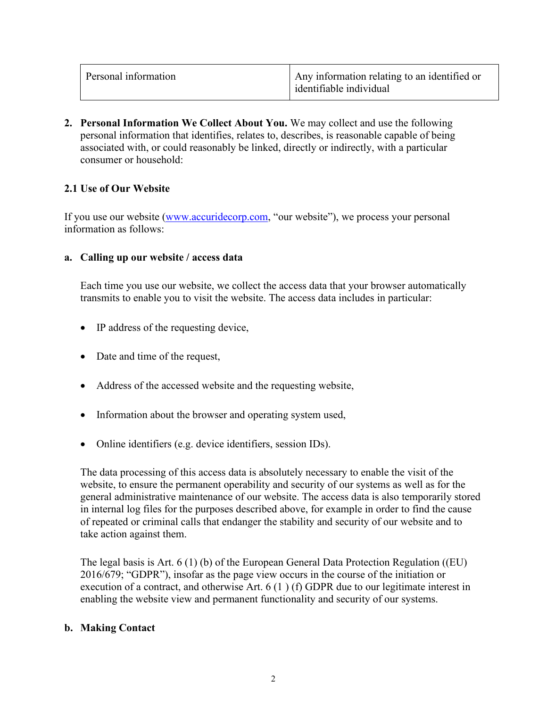**2. Personal Information We Collect About You.** We may collect and use the following personal information that identifies, relates to, describes, is reasonable capable of being associated with, or could reasonably be linked, directly or indirectly, with a particular consumer or household:

# **2.1 Use of Our Website**

If you use our website [\(www.accuridecorp.com,](http://www.accuridecorp.com/) "our website"), we process your personal information as follows:

### **a. Calling up our website / access data**

Each time you use our website, we collect the access data that your browser automatically transmits to enable you to visit the website. The access data includes in particular:

- IP address of the requesting device,
- Date and time of the request,
- Address of the accessed website and the requesting website,
- Information about the browser and operating system used,
- Online identifiers (e.g. device identifiers, session IDs).

The data processing of this access data is absolutely necessary to enable the visit of the website, to ensure the permanent operability and security of our systems as well as for the general administrative maintenance of our website. The access data is also temporarily stored in internal log files for the purposes described above, for example in order to find the cause of repeated or criminal calls that endanger the stability and security of our website and to take action against them.

The legal basis is Art. 6 (1) (b) of the European General Data Protection Regulation ((EU) 2016/679; "GDPR"), insofar as the page view occurs in the course of the initiation or execution of a contract, and otherwise Art. 6 (1 ) (f) GDPR due to our legitimate interest in enabling the website view and permanent functionality and security of our systems.

## **b. Making Contact**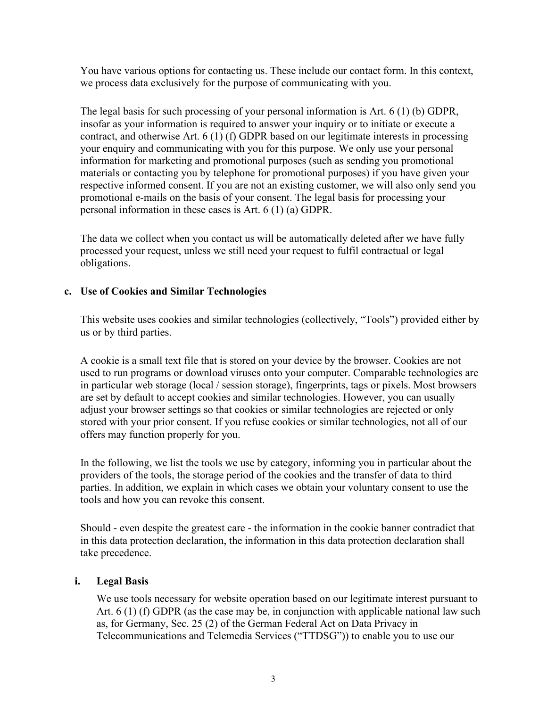You have various options for contacting us. These include our contact form. In this context, we process data exclusively for the purpose of communicating with you.

The legal basis for such processing of your personal information is Art. 6 (1) (b) GDPR, insofar as your information is required to answer your inquiry or to initiate or execute a contract, and otherwise Art. 6 (1) (f) GDPR based on our legitimate interests in processing your enquiry and communicating with you for this purpose. We only use your personal information for marketing and promotional purposes (such as sending you promotional materials or contacting you by telephone for promotional purposes) if you have given your respective informed consent. If you are not an existing customer, we will also only send you promotional e-mails on the basis of your consent. The legal basis for processing your personal information in these cases is Art. 6 (1) (a) GDPR.

The data we collect when you contact us will be automatically deleted after we have fully processed your request, unless we still need your request to fulfil contractual or legal obligations.

### **c. Use of Cookies and Similar Technologies**

This website uses cookies and similar technologies (collectively, "Tools") provided either by us or by third parties.

A cookie is a small text file that is stored on your device by the browser. Cookies are not used to run programs or download viruses onto your computer. Comparable technologies are in particular web storage (local / session storage), fingerprints, tags or pixels. Most browsers are set by default to accept cookies and similar technologies. However, you can usually adjust your browser settings so that cookies or similar technologies are rejected or only stored with your prior consent. If you refuse cookies or similar technologies, not all of our offers may function properly for you.

In the following, we list the tools we use by category, informing you in particular about the providers of the tools, the storage period of the cookies and the transfer of data to third parties. In addition, we explain in which cases we obtain your voluntary consent to use the tools and how you can revoke this consent.

Should - even despite the greatest care - the information in the cookie banner contradict that in this data protection declaration, the information in this data protection declaration shall take precedence.

#### **i. Legal Basis**

We use tools necessary for website operation based on our legitimate interest pursuant to Art. 6 (1) (f) GDPR (as the case may be, in conjunction with applicable national law such as, for Germany, Sec. 25 (2) of the German Federal Act on Data Privacy in Telecommunications and Telemedia Services ("TTDSG")) to enable you to use our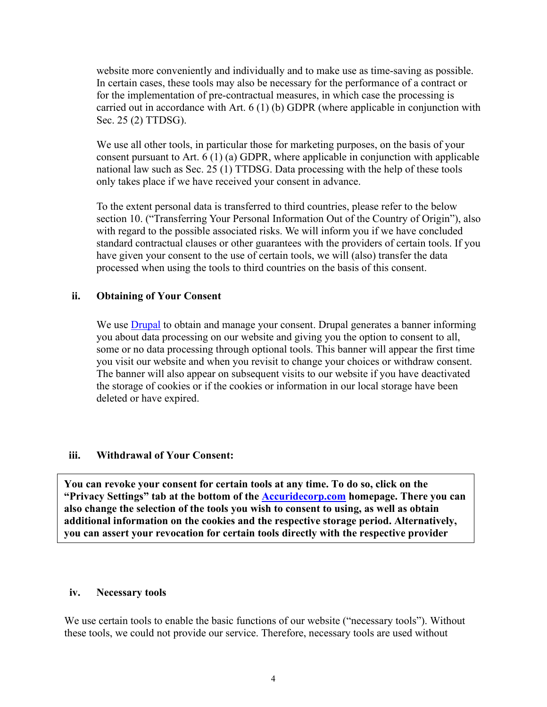website more conveniently and individually and to make use as time-saving as possible. In certain cases, these tools may also be necessary for the performance of a contract or for the implementation of pre-contractual measures, in which case the processing is carried out in accordance with Art. 6 (1) (b) GDPR (where applicable in conjunction with Sec. 25 (2) TTDSG).

We use all other tools, in particular those for marketing purposes, on the basis of your consent pursuant to Art. 6 (1) (a) GDPR, where applicable in conjunction with applicable national law such as Sec. 25 (1) TTDSG. Data processing with the help of these tools only takes place if we have received your consent in advance.

To the extent personal data is transferred to third countries, please refer to the below section 10. ("Transferring Your Personal Information Out of the Country of Origin"), also with regard to the possible associated risks. We will inform you if we have concluded standard contractual clauses or other guarantees with the providers of certain tools. If you have given your consent to the use of certain tools, we will (also) transfer the data processed when using the tools to third countries on the basis of this consent.

### **ii. Obtaining of Your Consent**

We use [Drupal](https://www.drupal.org/project/eu_cookie_compliance) to obtain and manage your consent. Drupal generates a banner informing you about data processing on our website and giving you the option to consent to all, some or no data processing through optional tools. This banner will appear the first time you visit our website and when you revisit to change your choices or withdraw consent. The banner will also appear on subsequent visits to our website if you have deactivated the storage of cookies or if the cookies or information in our local storage have been deleted or have expired.

#### **iii. Withdrawal of Your Consent:**

**You can revoke your consent for certain tools at any time. To do so, click on the "Privacy Settings" tab at the bottom of the [Accuridecorp.com](https://www.accuridecorp.com/) homepage. There you can also change the selection of the tools you wish to consent to using, as well as obtain additional information on the cookies and the respective storage period. Alternatively, you can assert your revocation for certain tools directly with the respective provider**

#### **iv. Necessary tools**

We use certain tools to enable the basic functions of our website ("necessary tools"). Without these tools, we could not provide our service. Therefore, necessary tools are used without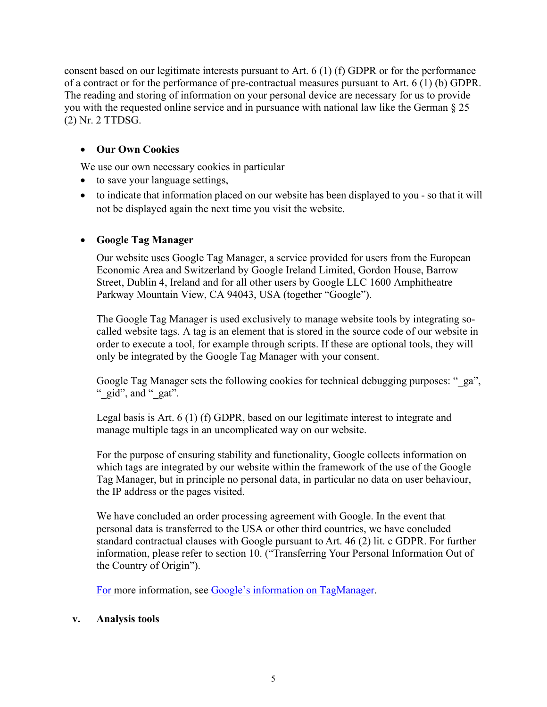consent based on our legitimate interests pursuant to Art. 6 (1) (f) GDPR or for the performance of a contract or for the performance of pre-contractual measures pursuant to Art. 6 (1) (b) GDPR. The reading and storing of information on your personal device are necessary for us to provide you with the requested online service and in pursuance with national law like the German § 25 (2) Nr. 2 TTDSG.

# • **Our Own Cookies**

We use our own necessary cookies in particular

- to save your language settings,
- to indicate that information placed on our website has been displayed to you so that it will not be displayed again the next time you visit the website.

# • **Google Tag Manager**

Our website uses Google Tag Manager, a service provided for users from the European Economic Area and Switzerland by Google Ireland Limited, Gordon House, Barrow Street, Dublin 4, Ireland and for all other users by Google LLC 1600 Amphitheatre Parkway Mountain View, CA 94043, USA (together "Google").

The Google Tag Manager is used exclusively to manage website tools by integrating socalled website tags. A tag is an element that is stored in the source code of our website in order to execute a tool, for example through scripts. If these are optional tools, they will only be integrated by the Google Tag Manager with your consent.

Google Tag Manager sets the following cookies for technical debugging purposes: " ga", " $\left( \text{gid} \right)$ ", and " $\left( \text{eat}' \right)$ ".

Legal basis is Art. 6 (1) (f) GDPR, based on our legitimate interest to integrate and manage multiple tags in an uncomplicated way on our website.

For the purpose of ensuring stability and functionality, Google collects information on which tags are integrated by our website within the framework of the use of the Google Tag Manager, but in principle no personal data, in particular no data on user behaviour, the IP address or the pages visited.

We have concluded an order processing agreement with Google. In the event that personal data is transferred to the USA or other third countries, we have concluded standard contractual clauses with Google pursuant to Art. 46 (2) lit. c GDPR. For further information, please refer to section 10. ("Transferring Your Personal Information Out of the Country of Origin").

[For m](https://support.google.com/tagmanager/answer/6103697?hl=de&topic=2574304&ctx=topic&rd=1)ore information, see [Google's information on TagManager.](https://support.google.com/tagmanager/answer/6103697?hl=de&topic=2574304&ctx=topic&rd=1)

#### **v. Analysis tools**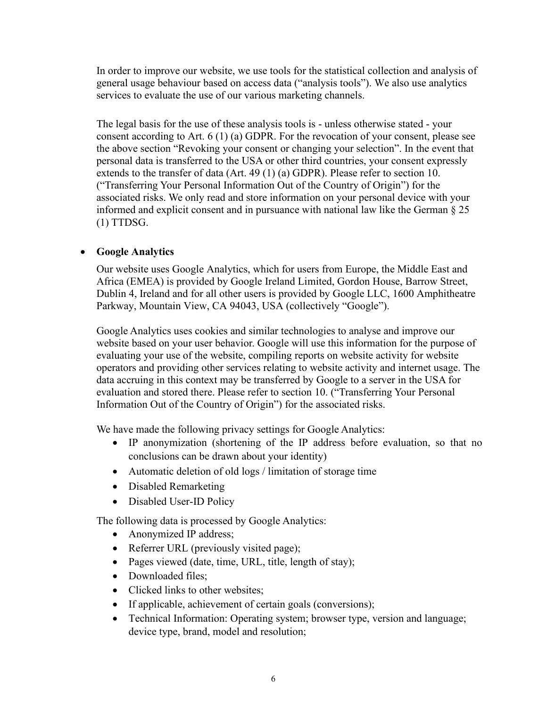In order to improve our website, we use tools for the statistical collection and analysis of general usage behaviour based on access data ("analysis tools"). We also use analytics services to evaluate the use of our various marketing channels.

The legal basis for the use of these analysis tools is - unless otherwise stated - your consent according to Art. 6 (1) (a) GDPR. For the revocation of your consent, please see the above section "Revoking your consent or changing your selection". In the event that personal data is transferred to the USA or other third countries, your consent expressly extends to the transfer of data (Art. 49 (1) (a) GDPR). Please refer to section 10. ("Transferring Your Personal Information Out of the Country of Origin") for the associated risks. We only read and store information on your personal device with your informed and explicit consent and in pursuance with national law like the German § 25 (1) TTDSG.

### • **Google Analytics**

Our website uses Google Analytics, which for users from Europe, the Middle East and Africa (EMEA) is provided by Google Ireland Limited, Gordon House, Barrow Street, Dublin 4, Ireland and for all other users is provided by Google LLC, 1600 Amphitheatre Parkway, Mountain View, CA 94043, USA (collectively "Google").

Google Analytics uses cookies and similar technologies to analyse and improve our website based on your user behavior. Google will use this information for the purpose of evaluating your use of the website, compiling reports on website activity for website operators and providing other services relating to website activity and internet usage. The data accruing in this context may be transferred by Google to a server in the USA for evaluation and stored there. Please refer to section 10. ("Transferring Your Personal Information Out of the Country of Origin") for the associated risks.

We have made the following privacy settings for Google Analytics:

- IP anonymization (shortening of the IP address before evaluation, so that no conclusions can be drawn about your identity)
- Automatic deletion of old logs / limitation of storage time
- Disabled Remarketing
- Disabled User-ID Policy

The following data is processed by Google Analytics:

- Anonymized IP address;
- Referrer URL (previously visited page);
- Pages viewed (date, time, URL, title, length of stay);
- Downloaded files:
- Clicked links to other websites:
- If applicable, achievement of certain goals (conversions);
- Technical Information: Operating system; browser type, version and language; device type, brand, model and resolution;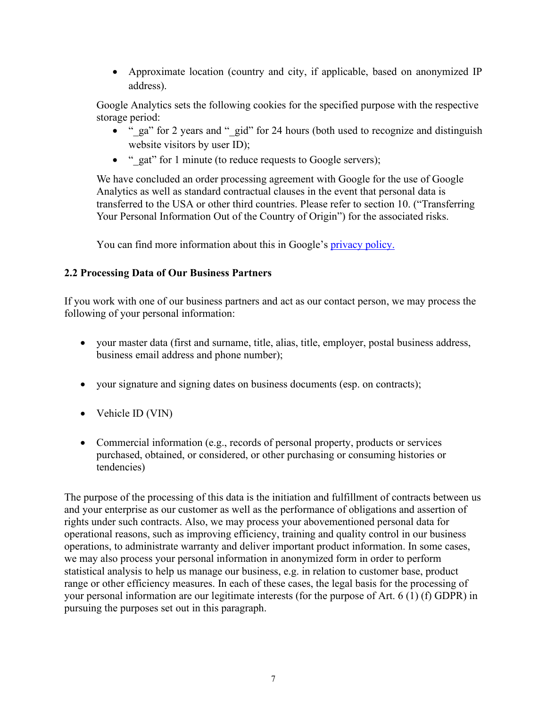• Approximate location (country and city, if applicable, based on anonymized IP address).

Google Analytics sets the following cookies for the specified purpose with the respective storage period:

- " ga" for 2 years and " gid" for 24 hours (both used to recognize and distinguish website visitors by user ID);
- " gat" for 1 minute (to reduce requests to Google servers);

We have concluded an order processing agreement with Google for the use of Google Analytics as well as standard contractual clauses in the event that personal data is transferred to the USA or other third countries. Please refer to section 10. ("Transferring Your Personal Information Out of the Country of Origin") for the associated risks.

You can find more information about this in Google's **privacy policy**.

# **2.2 Processing Data of Our Business Partners**

If you work with one of our business partners and act as our contact person, we may process the following of your personal information:

- your master data (first and surname, title, alias, title, employer, postal business address, business email address and phone number);
- your signature and signing dates on business documents (esp. on contracts);
- Vehicle ID (VIN)
- Commercial information (e.g., records of personal property, products or services purchased, obtained, or considered, or other purchasing or consuming histories or tendencies)

The purpose of the processing of this data is the initiation and fulfillment of contracts between us and your enterprise as our customer as well as the performance of obligations and assertion of rights under such contracts. Also, we may process your abovementioned personal data for operational reasons, such as improving efficiency, training and quality control in our business operations, to administrate warranty and deliver important product information. In some cases, we may also process your personal information in anonymized form in order to perform statistical analysis to help us manage our business, e.g. in relation to customer base, product range or other efficiency measures. In each of these cases, the legal basis for the processing of your personal information are our legitimate interests (for the purpose of Art. 6 (1) (f) GDPR) in pursuing the purposes set out in this paragraph.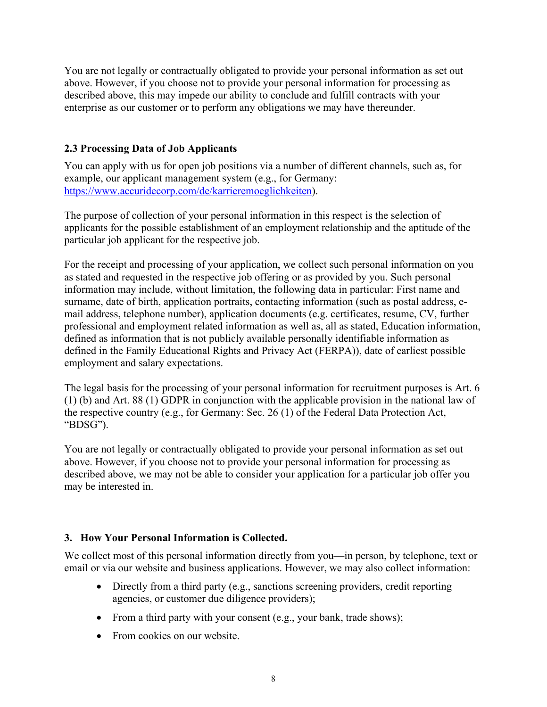You are not legally or contractually obligated to provide your personal information as set out above. However, if you choose not to provide your personal information for processing as described above, this may impede our ability to conclude and fulfill contracts with your enterprise as our customer or to perform any obligations we may have thereunder.

# **2.3 Processing Data of Job Applicants**

You can apply with us for open job positions via a number of different channels, such as, for example, our applicant management system (e.g., for Germany: [https://www.accuridecorp.com/de/karrieremoeglichkeiten\)](https://www.accuridecorp.com/de/karrieremoeglichkeiten).

The purpose of collection of your personal information in this respect is the selection of applicants for the possible establishment of an employment relationship and the aptitude of the particular job applicant for the respective job.

For the receipt and processing of your application, we collect such personal information on you as stated and requested in the respective job offering or as provided by you. Such personal information may include, without limitation, the following data in particular: First name and surname, date of birth, application portraits, contacting information (such as postal address, email address, telephone number), application documents (e.g. certificates, resume, CV, further professional and employment related information as well as, all as stated, Education information, defined as information that is not publicly available personally identifiable information as defined in the Family Educational Rights and Privacy Act (FERPA)), date of earliest possible employment and salary expectations.

The legal basis for the processing of your personal information for recruitment purposes is Art. 6 (1) (b) and Art. 88 (1) GDPR in conjunction with the applicable provision in the national law of the respective country (e.g., for Germany: Sec. 26 (1) of the Federal Data Protection Act, "BDSG").

You are not legally or contractually obligated to provide your personal information as set out above. However, if you choose not to provide your personal information for processing as described above, we may not be able to consider your application for a particular job offer you may be interested in.

## **3. How Your Personal Information is Collected.**

We collect most of this personal information directly from you—in person, by telephone, text or email or via our website and business applications. However, we may also collect information:

- Directly from a third party (e.g., sanctions screening providers, credit reporting agencies, or customer due diligence providers);
- From a third party with your consent (e.g., your bank, trade shows);
- From cookies on our website.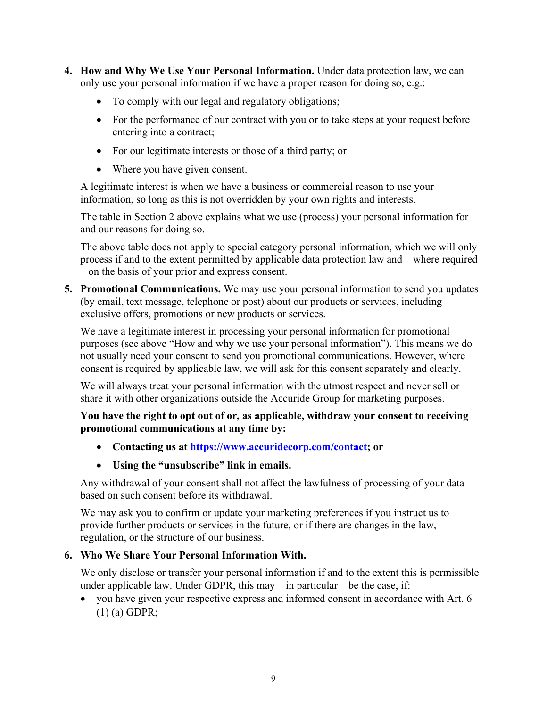- **4. How and Why We Use Your Personal Information.** Under data protection law, we can only use your personal information if we have a proper reason for doing so, e.g.:
	- To comply with our legal and regulatory obligations;
	- For the performance of our contract with you or to take steps at your request before entering into a contract;
	- For our legitimate interests or those of a third party; or
	- Where you have given consent.

A legitimate interest is when we have a business or commercial reason to use your information, so long as this is not overridden by your own rights and interests.

The table in Section 2 above explains what we use (process) your personal information for and our reasons for doing so.

The above table does not apply to special category personal information, which we will only process if and to the extent permitted by applicable data protection law and – where required – on the basis of your prior and express consent.

**5. Promotional Communications.** We may use your personal information to send you updates (by email, text message, telephone or post) about our products or services, including exclusive offers, promotions or new products or services.

We have a legitimate interest in processing your personal information for promotional purposes (see above "How and why we use your personal information"). This means we do not usually need your consent to send you promotional communications. However, where consent is required by applicable law, we will ask for this consent separately and clearly.

We will always treat your personal information with the utmost respect and never sell or share it with other organizations outside the Accuride Group for marketing purposes.

### **You have the right to opt out of or, as applicable, withdraw your consent to receiving promotional communications at any time by:**

- **Contacting us at [https://www.accuridecorp.com/contact;](https://www.accuridecorp.com/contact) or**
- **Using the "unsubscribe" link in emails.**

Any withdrawal of your consent shall not affect the lawfulness of processing of your data based on such consent before its withdrawal.

We may ask you to confirm or update your marketing preferences if you instruct us to provide further products or services in the future, or if there are changes in the law, regulation, or the structure of our business.

#### **6. Who We Share Your Personal Information With.**

We only disclose or transfer your personal information if and to the extent this is permissible under applicable law. Under GDPR, this may  $-$  in particular  $-$  be the case, if:

• you have given your respective express and informed consent in accordance with Art. 6 (1) (a) GDPR;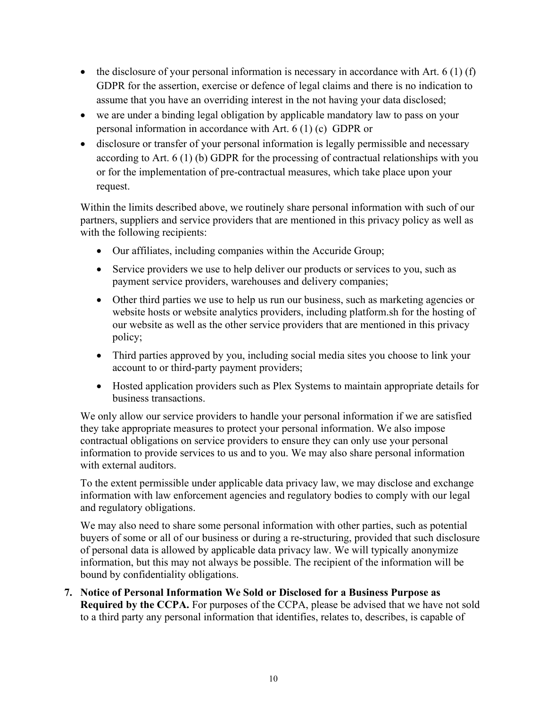- the disclosure of your personal information is necessary in accordance with Art.  $6(1)(f)$ GDPR for the assertion, exercise or defence of legal claims and there is no indication to assume that you have an overriding interest in the not having your data disclosed;
- we are under a binding legal obligation by applicable mandatory law to pass on your personal information in accordance with Art. 6 (1) (c) GDPR or
- disclosure or transfer of your personal information is legally permissible and necessary according to Art. 6 (1) (b) GDPR for the processing of contractual relationships with you or for the implementation of pre-contractual measures, which take place upon your request.

Within the limits described above, we routinely share personal information with such of our partners, suppliers and service providers that are mentioned in this privacy policy as well as with the following recipients:

- Our affiliates, including companies within the Accuride Group;
- Service providers we use to help deliver our products or services to you, such as payment service providers, warehouses and delivery companies;
- Other third parties we use to help us run our business, such as marketing agencies or website hosts or website analytics providers, including platform.sh for the hosting of our website as well as the other service providers that are mentioned in this privacy policy;
- Third parties approved by you, including social media sites you choose to link your account to or third-party payment providers;
- Hosted application providers such as Plex Systems to maintain appropriate details for business transactions.

We only allow our service providers to handle your personal information if we are satisfied they take appropriate measures to protect your personal information. We also impose contractual obligations on service providers to ensure they can only use your personal information to provide services to us and to you. We may also share personal information with external auditors.

To the extent permissible under applicable data privacy law, we may disclose and exchange information with law enforcement agencies and regulatory bodies to comply with our legal and regulatory obligations.

We may also need to share some personal information with other parties, such as potential buyers of some or all of our business or during a re-structuring, provided that such disclosure of personal data is allowed by applicable data privacy law. We will typically anonymize information, but this may not always be possible. The recipient of the information will be bound by confidentiality obligations.

**7. Notice of Personal Information We Sold or Disclosed for a Business Purpose as Required by the CCPA.** For purposes of the CCPA, please be advised that we have not sold to a third party any personal information that identifies, relates to, describes, is capable of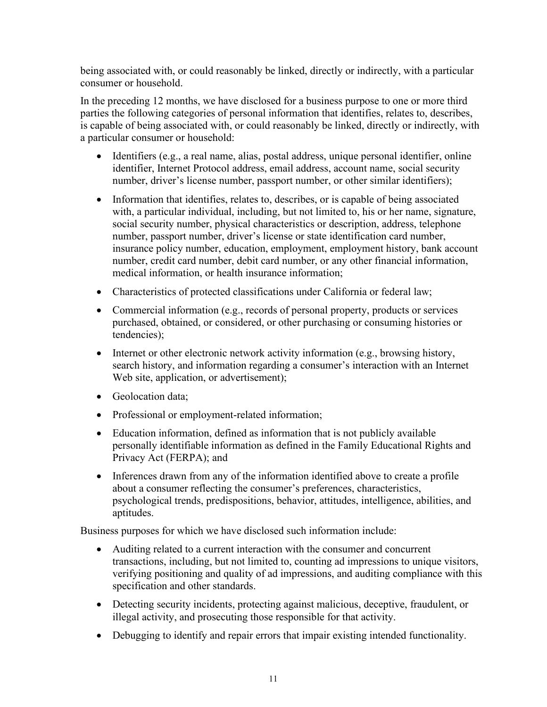being associated with, or could reasonably be linked, directly or indirectly, with a particular consumer or household.

In the preceding 12 months, we have disclosed for a business purpose to one or more third parties the following categories of personal information that identifies, relates to, describes, is capable of being associated with, or could reasonably be linked, directly or indirectly, with a particular consumer or household:

- Identifiers (e.g., a real name, alias, postal address, unique personal identifier, online identifier, Internet Protocol address, email address, account name, social security number, driver's license number, passport number, or other similar identifiers);
- Information that identifies, relates to, describes, or is capable of being associated with, a particular individual, including, but not limited to, his or her name, signature, social security number, physical characteristics or description, address, telephone number, passport number, driver's license or state identification card number, insurance policy number, education, employment, employment history, bank account number, credit card number, debit card number, or any other financial information, medical information, or health insurance information;
- Characteristics of protected classifications under California or federal law;
- Commercial information (e.g., records of personal property, products or services purchased, obtained, or considered, or other purchasing or consuming histories or tendencies);
- Internet or other electronic network activity information (e.g., browsing history, search history, and information regarding a consumer's interaction with an Internet Web site, application, or advertisement);
- Geolocation data:
- Professional or employment-related information;
- Education information, defined as information that is not publicly available personally identifiable information as defined in the Family Educational Rights and Privacy Act (FERPA); and
- Inferences drawn from any of the information identified above to create a profile about a consumer reflecting the consumer's preferences, characteristics, psychological trends, predispositions, behavior, attitudes, intelligence, abilities, and aptitudes.

Business purposes for which we have disclosed such information include:

- Auditing related to a current interaction with the consumer and concurrent transactions, including, but not limited to, counting ad impressions to unique visitors, verifying positioning and quality of ad impressions, and auditing compliance with this specification and other standards.
- Detecting security incidents, protecting against malicious, deceptive, fraudulent, or illegal activity, and prosecuting those responsible for that activity.
- Debugging to identify and repair errors that impair existing intended functionality.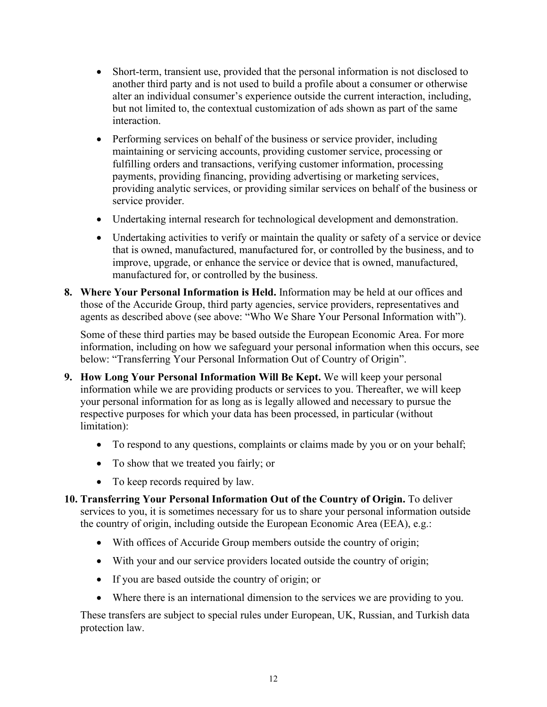- Short-term, transient use, provided that the personal information is not disclosed to another third party and is not used to build a profile about a consumer or otherwise alter an individual consumer's experience outside the current interaction, including, but not limited to, the contextual customization of ads shown as part of the same interaction.
- Performing services on behalf of the business or service provider, including maintaining or servicing accounts, providing customer service, processing or fulfilling orders and transactions, verifying customer information, processing payments, providing financing, providing advertising or marketing services, providing analytic services, or providing similar services on behalf of the business or service provider.
- Undertaking internal research for technological development and demonstration.
- Undertaking activities to verify or maintain the quality or safety of a service or device that is owned, manufactured, manufactured for, or controlled by the business, and to improve, upgrade, or enhance the service or device that is owned, manufactured, manufactured for, or controlled by the business.
- **8. Where Your Personal Information is Held.** Information may be held at our offices and those of the Accuride Group, third party agencies, service providers, representatives and agents as described above (see above: "Who We Share Your Personal Information with").

Some of these third parties may be based outside the European Economic Area. For more information, including on how we safeguard your personal information when this occurs, see below: "Transferring Your Personal Information Out of Country of Origin".

- **9. How Long Your Personal Information Will Be Kept.** We will keep your personal information while we are providing products or services to you. Thereafter, we will keep your personal information for as long as is legally allowed and necessary to pursue the respective purposes for which your data has been processed, in particular (without limitation):
	- To respond to any questions, complaints or claims made by you or on your behalf;
	- To show that we treated you fairly; or
	- To keep records required by law.
- **10. Transferring Your Personal Information Out of the Country of Origin.** To deliver services to you, it is sometimes necessary for us to share your personal information outside the country of origin, including outside the European Economic Area (EEA), e.g.:
	- With offices of Accuride Group members outside the country of origin;
	- With your and our service providers located outside the country of origin;
	- If you are based outside the country of origin; or
	- Where there is an international dimension to the services we are providing to you.

These transfers are subject to special rules under European, UK, Russian, and Turkish data protection law.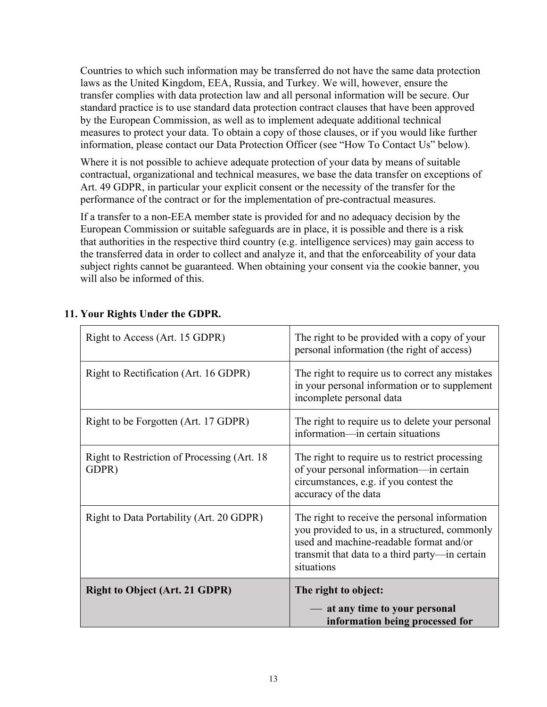Countries to which such information may be transferred do not have the same data protection laws as the United Kingdom, EEA, Russia, and Turkey. We will, however, ensure the transfer complies with data protection law and all personal information will be secure. Our standard practice is to use standard data protection contract clauses that have been approved by the European Commission, as well as to implement adequate additional technical measures to protect your data. To obtain a copy of those clauses, or if you would like further information, please contact our Data Protection Officer (see "How To Contact Us" below).

Where it is not possible to achieve adequate protection of your data by means of suitable contractual, organizational and technical measures, we base the data transfer on exceptions of Art. 49 GDPR, in particular your explicit consent or the necessity of the transfer for the performance of the contract or for the implementation of pre-contractual measures.

If a transfer to a non-EEA member state is provided for and no adequacy decision by the European Commission or suitable safeguards are in place, it is possible and there is a risk that authorities in the respective third country (e.g. intelligence services) may gain access to the transferred data in order to collect and analyze it, and that the enforceability of your data subject rights cannot be guaranteed. When obtaining your consent via the cookie banner, you will also be informed of this.

| Right to Access (Art. 15 GDPR)                        | The right to be provided with a copy of your<br>personal information (the right of access)                                                                                                                |
|-------------------------------------------------------|-----------------------------------------------------------------------------------------------------------------------------------------------------------------------------------------------------------|
| Right to Rectification (Art. 16 GDPR)                 | The right to require us to correct any mistakes<br>in your personal information or to supplement<br>incomplete personal data                                                                              |
| Right to be Forgotten (Art. 17 GDPR)                  | The right to require us to delete your personal<br>information—in certain situations                                                                                                                      |
| Right to Restriction of Processing (Art. 18)<br>GDPR) | The right to require us to restrict processing<br>of your personal information-in certain<br>circumstances, e.g. if you contest the<br>accuracy of the data                                               |
| Right to Data Portability (Art. 20 GDPR)              | The right to receive the personal information<br>you provided to us, in a structured, commonly<br>used and machine-readable format and/or<br>transmit that data to a third party—in certain<br>situations |
| <b>Right to Object (Art. 21 GDPR)</b>                 | The right to object:<br>- at any time to your personal<br>information being processed for                                                                                                                 |

# **11. Your Rights Under the GDPR.**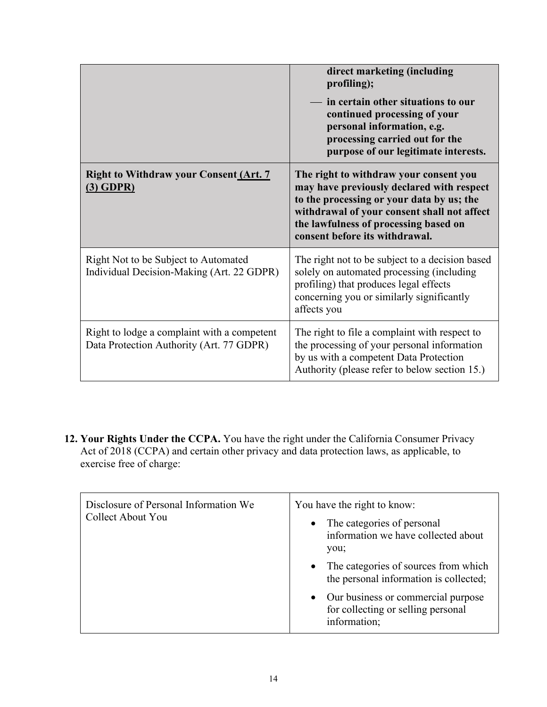|                                                                                         | direct marketing (including<br>profiling);                                                                                                                                                                                                                 |
|-----------------------------------------------------------------------------------------|------------------------------------------------------------------------------------------------------------------------------------------------------------------------------------------------------------------------------------------------------------|
|                                                                                         | in certain other situations to our<br>continued processing of your<br>personal information, e.g.<br>processing carried out for the<br>purpose of our legitimate interests.                                                                                 |
| <b>Right to Withdraw your Consent (Art. 7</b><br>$(3)$ GDPR)                            | The right to withdraw your consent you<br>may have previously declared with respect<br>to the processing or your data by us; the<br>withdrawal of your consent shall not affect<br>the lawfulness of processing based on<br>consent before its withdrawal. |
| Right Not to be Subject to Automated<br>Individual Decision-Making (Art. 22 GDPR)       | The right not to be subject to a decision based<br>solely on automated processing (including<br>profiling) that produces legal effects<br>concerning you or similarly significantly<br>affects you                                                         |
| Right to lodge a complaint with a competent<br>Data Protection Authority (Art. 77 GDPR) | The right to file a complaint with respect to<br>the processing of your personal information<br>by us with a competent Data Protection<br>Authority (please refer to below section 15.)                                                                    |

**12. Your Rights Under the CCPA.** You have the right under the California Consumer Privacy Act of 2018 (CCPA) and certain other privacy and data protection laws, as applicable, to exercise free of charge:

| Disclosure of Personal Information We<br>Collect About You | You have the right to know:<br>The categories of personal<br>$\bullet$<br>information we have collected about<br>you; |
|------------------------------------------------------------|-----------------------------------------------------------------------------------------------------------------------|
|                                                            | The categories of sources from which<br>$\bullet$<br>the personal information is collected;                           |
|                                                            | • Our business or commercial purpose<br>for collecting or selling personal<br>information;                            |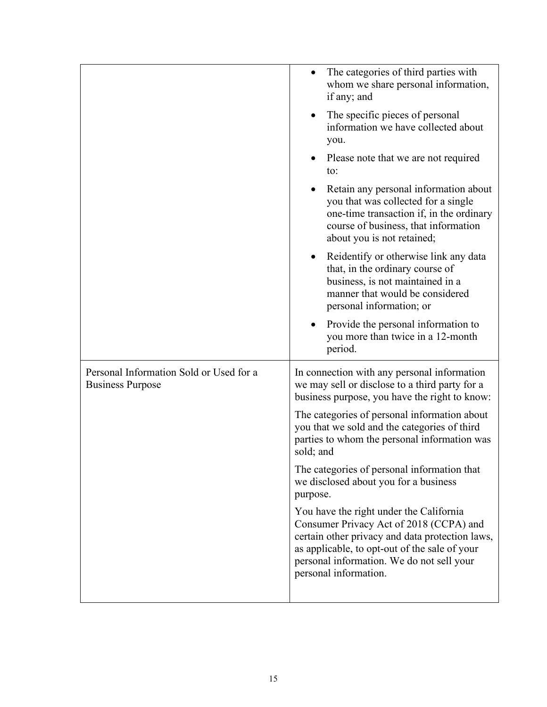|                                                                    | The categories of third parties with<br>$\bullet$<br>whom we share personal information,<br>if any; and                                                                                                                                                      |
|--------------------------------------------------------------------|--------------------------------------------------------------------------------------------------------------------------------------------------------------------------------------------------------------------------------------------------------------|
|                                                                    | The specific pieces of personal<br>$\bullet$<br>information we have collected about<br>you.                                                                                                                                                                  |
|                                                                    | Please note that we are not required<br>to:                                                                                                                                                                                                                  |
|                                                                    | Retain any personal information about<br>you that was collected for a single<br>one-time transaction if, in the ordinary<br>course of business, that information<br>about you is not retained;                                                               |
|                                                                    | Reidentify or otherwise link any data<br>$\bullet$<br>that, in the ordinary course of<br>business, is not maintained in a<br>manner that would be considered<br>personal information; or                                                                     |
|                                                                    | Provide the personal information to<br>you more than twice in a 12-month<br>period.                                                                                                                                                                          |
| Personal Information Sold or Used for a<br><b>Business Purpose</b> | In connection with any personal information<br>we may sell or disclose to a third party for a<br>business purpose, you have the right to know:                                                                                                               |
|                                                                    | The categories of personal information about<br>you that we sold and the categories of third<br>parties to whom the personal information was<br>sold; and                                                                                                    |
|                                                                    | The categories of personal information that<br>we disclosed about you for a business<br>purpose.                                                                                                                                                             |
|                                                                    | You have the right under the California<br>Consumer Privacy Act of 2018 (CCPA) and<br>certain other privacy and data protection laws,<br>as applicable, to opt-out of the sale of your<br>personal information. We do not sell your<br>personal information. |
|                                                                    |                                                                                                                                                                                                                                                              |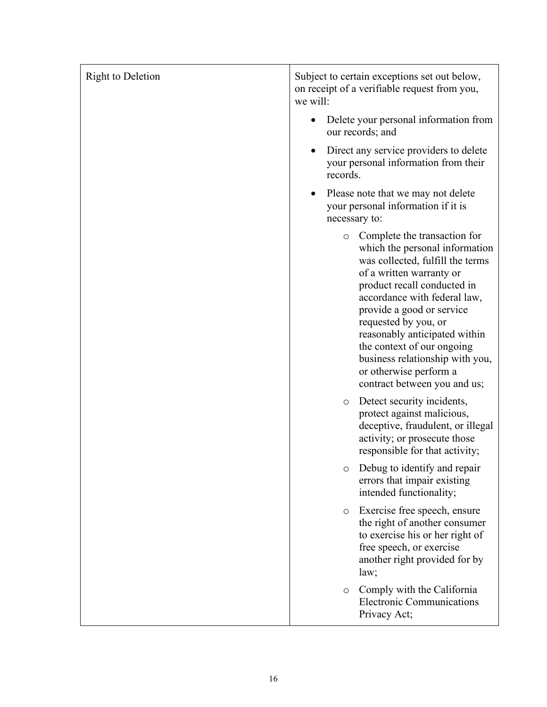| <b>Right to Deletion</b> | Subject to certain exceptions set out below,<br>on receipt of a verifiable request from you,<br>we will:                                                                                                                                                                                                                                                                                                                  |
|--------------------------|---------------------------------------------------------------------------------------------------------------------------------------------------------------------------------------------------------------------------------------------------------------------------------------------------------------------------------------------------------------------------------------------------------------------------|
|                          | Delete your personal information from<br>our records; and                                                                                                                                                                                                                                                                                                                                                                 |
|                          | Direct any service providers to delete<br>your personal information from their<br>records.                                                                                                                                                                                                                                                                                                                                |
|                          | Please note that we may not delete<br>your personal information if it is<br>necessary to:                                                                                                                                                                                                                                                                                                                                 |
|                          | Complete the transaction for<br>$\circ$<br>which the personal information<br>was collected, fulfill the terms<br>of a written warranty or<br>product recall conducted in<br>accordance with federal law,<br>provide a good or service<br>requested by you, or<br>reasonably anticipated within<br>the context of our ongoing<br>business relationship with you,<br>or otherwise perform a<br>contract between you and us; |
|                          | Detect security incidents,<br>$\circ$<br>protect against malicious,<br>deceptive, fraudulent, or illegal<br>activity; or prosecute those<br>responsible for that activity;                                                                                                                                                                                                                                                |
|                          | Debug to identify and repair<br>errors that impair existing<br>intended functionality;                                                                                                                                                                                                                                                                                                                                    |
|                          | Exercise free speech, ensure<br>$\circ$<br>the right of another consumer<br>to exercise his or her right of<br>free speech, or exercise<br>another right provided for by<br>law;                                                                                                                                                                                                                                          |
|                          | Comply with the California<br>$\circ$<br><b>Electronic Communications</b><br>Privacy Act;                                                                                                                                                                                                                                                                                                                                 |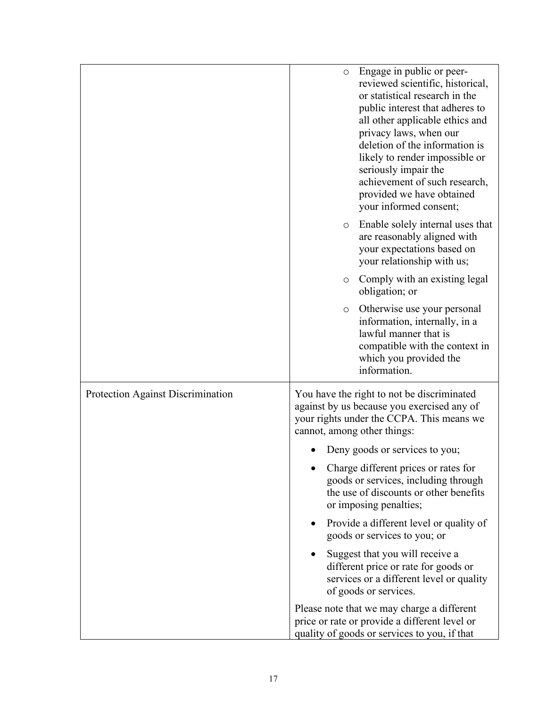|                                   | Engage in public or peer-<br>$\circ$                                       |
|-----------------------------------|----------------------------------------------------------------------------|
|                                   | reviewed scientific, historical,<br>or statistical research in the         |
|                                   | public interest that adheres to                                            |
|                                   | all other applicable ethics and                                            |
|                                   | privacy laws, when our                                                     |
|                                   | deletion of the information is<br>likely to render impossible or           |
|                                   | seriously impair the                                                       |
|                                   | achievement of such research,                                              |
|                                   | provided we have obtained                                                  |
|                                   | your informed consent;                                                     |
|                                   | Enable solely internal uses that<br>$\circ$<br>are reasonably aligned with |
|                                   | your expectations based on                                                 |
|                                   | your relationship with us;                                                 |
|                                   | Comply with an existing legal<br>$\circ$                                   |
|                                   | obligation; or                                                             |
|                                   | Otherwise use your personal<br>$\circ$                                     |
|                                   | information, internally, in a<br>lawful manner that is                     |
|                                   | compatible with the context in                                             |
|                                   | which you provided the                                                     |
|                                   | information.                                                               |
| Protection Against Discrimination | You have the right to not be discriminated                                 |
|                                   | against by us because you exercised any of                                 |
|                                   | your rights under the CCPA. This means we<br>cannot, among other things:   |
|                                   | Deny goods or services to you;                                             |
|                                   | Charge different prices or rates for                                       |
|                                   | goods or services, including through                                       |
|                                   | the use of discounts or other benefits<br>or imposing penalties;           |
|                                   | Provide a different level or quality of<br>goods or services to you; or    |
|                                   |                                                                            |
|                                   | Suggest that you will receive a<br>different price or rate for goods or    |
|                                   | services or a different level or quality                                   |
|                                   | of goods or services.                                                      |
|                                   | Please note that we may charge a different                                 |
|                                   | price or rate or provide a different level or                              |
|                                   | quality of goods or services to you, if that                               |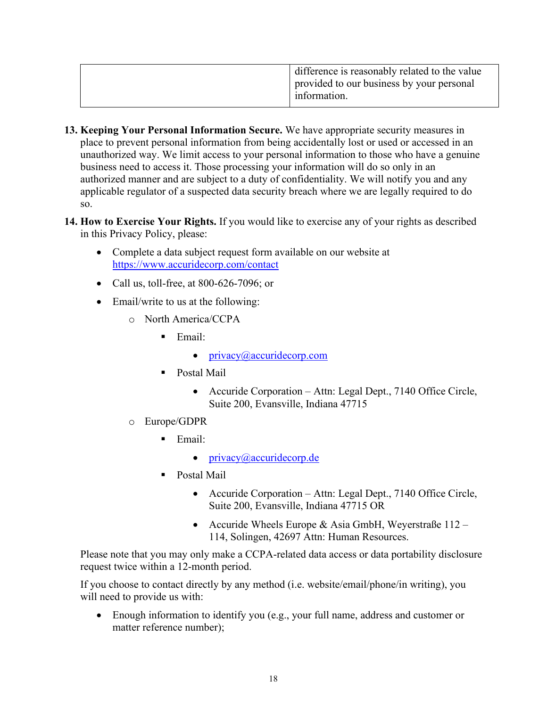|  | difference is reasonably related to the value |
|--|-----------------------------------------------|
|  | provided to our business by your personal     |
|  | information.                                  |
|  |                                               |

- **13. Keeping Your Personal Information Secure.** We have appropriate security measures in place to prevent personal information from being accidentally lost or used or accessed in an unauthorized way. We limit access to your personal information to those who have a genuine business need to access it. Those processing your information will do so only in an authorized manner and are subject to a duty of confidentiality. We will notify you and any applicable regulator of a suspected data security breach where we are legally required to do so.
- **14. How to Exercise Your Rights.** If you would like to exercise any of your rights as described in this Privacy Policy, please:
	- Complete a data subject request form available on our website at <https://www.accuridecorp.com/contact>
	- Call us, toll-free, at 800-626-7096; or
	- Email/write to us at the following:
		- o North America/CCPA
			- $\blacksquare$  Email:
				- [privacy@accuridecorp.com](mailto:privacy@accuridecorp.com)
			- **Postal Mail** 
				- Accuride Corporation Attn: Legal Dept., 7140 Office Circle, Suite 200, Evansville, Indiana 47715
		- o Europe/GDPR
			- $\blacksquare$  Email:
				- $\bullet$  [privacy@accuridecorp.de](mailto:privacy@accuridecorp.de)
			- Postal Mail
				- Accuride Corporation Attn: Legal Dept., 7140 Office Circle, Suite 200, Evansville, Indiana 47715 OR
				- Accuride Wheels Europe & Asia GmbH, Weyerstraße 112 114, Solingen, 42697 Attn: Human Resources.

Please note that you may only make a CCPA-related data access or data portability disclosure request twice within a 12-month period.

If you choose to contact directly by any method (i.e. website/email/phone/in writing), you will need to provide us with:

• Enough information to identify you (e.g., your full name, address and customer or matter reference number);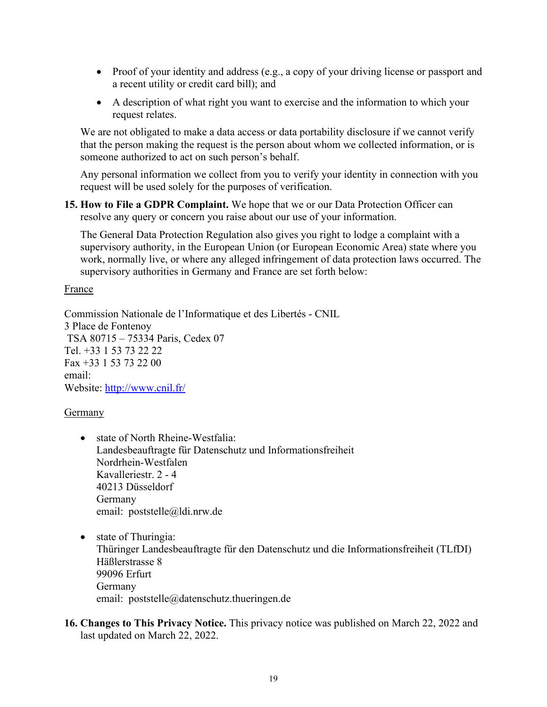- Proof of your identity and address (e.g., a copy of your driving license or passport and a recent utility or credit card bill); and
- A description of what right you want to exercise and the information to which your request relates.

We are not obligated to make a data access or data portability disclosure if we cannot verify that the person making the request is the person about whom we collected information, or is someone authorized to act on such person's behalf.

Any personal information we collect from you to verify your identity in connection with you request will be used solely for the purposes of verification.

**15. How to File a GDPR Complaint.** We hope that we or our Data Protection Officer can resolve any query or concern you raise about our use of your information.

The General Data Protection Regulation also gives you right to lodge a complaint with a supervisory authority, in the European Union (or European Economic Area) state where you work, normally live, or where any alleged infringement of data protection laws occurred. The supervisory authorities in Germany and France are set forth below:

### France

Commission Nationale de l'Informatique et des Libertés - CNIL 3 Place de Fontenoy TSA 80715 – 75334 Paris, Cedex 07 Tel. +33 1 53 73 22 22 Fax +33 1 53 73 22 00 email: Website:<http://www.cnil.fr/>

## Germany

- state of North Rheine-Westfalia: Landesbeauftragte für Datenschutz und Informationsfreiheit Nordrhein-Westfalen Kavalleriestr. 2 - 4 40213 Düsseldorf Germany email: [poststelle@ldi.nrw.de](mailto:poststelle@ldi.nrw.de)
- state of Thuringia:

Thüringer Landesbeauftragte für den Datenschutz und die Informationsfreiheit (TLfDI) Häßlerstrasse 8 99096 Erfurt Germany email: [poststelle@datenschutz.thueringen.de](mailto:poststelle@datenschutz.thueringen.de)

**16. Changes to This Privacy Notice.** This privacy notice was published on March 22, 2022 and last updated on March 22, 2022.